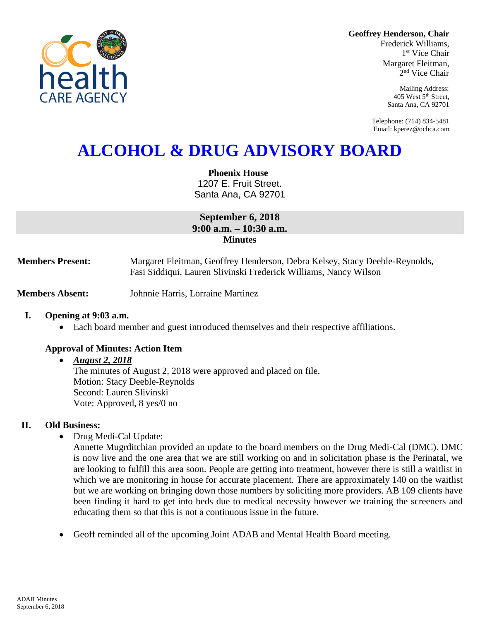**Geoffrey Henderson, Chair**

Frederick Williams, 1 st Vice Chair Margaret Fleitman, 2 nd Vice Chair

> Mailing Address: 405 West 5th Street, Santa Ana, CA 92701

Telephone: (714) 834-5481 Email: kperez@ochca.com

# **ALCOHOL & DRUG ADVISORY BOARD**

**Phoenix House** 1207 E. Fruit Street. Santa Ana, CA 92701

**September 6, 2018 9:00 a.m. – 10:30 a.m. Minutes**

**Members Present:** Margaret Fleitman, Geoffrey Henderson, Debra Kelsey, Stacy Deeble-Reynolds, Fasi Siddiqui, Lauren Slivinski Frederick Williams, Nancy Wilson

**Members Absent:** Johnnie Harris, Lorraine Martinez

#### **I. Opening at 9:03 a.m.**

Each board member and guest introduced themselves and their respective affiliations.

#### **Approval of Minutes: Action Item**

#### *August 2, 2018*

The minutes of August 2, 2018 were approved and placed on file. Motion: Stacy Deeble-Reynolds Second: Lauren Slivinski Vote: Approved, 8 yes/0 no

### **II. Old Business:**

• Drug Medi-Cal Update:

Annette Mugrditchian provided an update to the board members on the Drug Medi-Cal (DMC). DMC is now live and the one area that we are still working on and in solicitation phase is the Perinatal, we are looking to fulfill this area soon. People are getting into treatment, however there is still a waitlist in which we are monitoring in house for accurate placement. There are approximately 140 on the waitlist but we are working on bringing down those numbers by soliciting more providers. AB 109 clients have been finding it hard to get into beds due to medical necessity however we training the screeners and educating them so that this is not a continuous issue in the future.

Geoff reminded all of the upcoming Joint ADAB and Mental Health Board meeting.